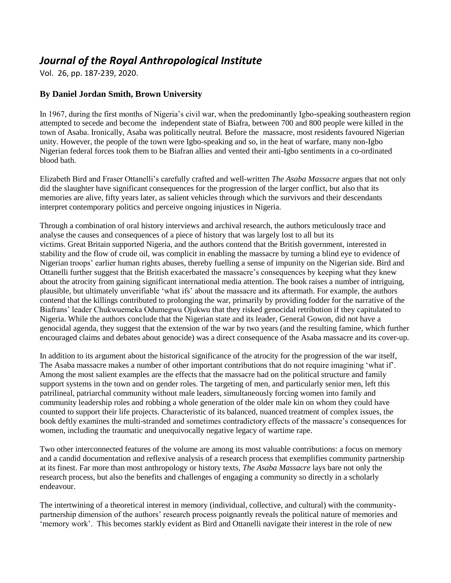## *Journal of the Royal Anthropological Institute*

Vol. 26, pp. 187-239, 2020.

## **By Daniel Jordan Smith, Brown University**

In 1967, during the first months of Nigeria's civil war, when the predominantly Igbo-speaking southeastern region attempted to secede and become the independent state of Biafra, between 700 and 800 people were killed in the town of Asaba. Ironically, Asaba was politically neutral. Before the massacre, most residents favoured Nigerian unity. However, the people of the town were Igbo-speaking and so, in the heat of warfare, many non-Igbo Nigerian federal forces took them to be Biafran allies and vented their anti-Igbo sentiments in a co-ordinated blood bath.

Elizabeth Bird and Fraser Ottanelli's carefully crafted and well-written *The Asaba Massacre* argues that not only did the slaughter have significant consequences for the progression of the larger conflict, but also that its memories are alive, fifty years later, as salient vehicles through which the survivors and their descendants interpret contemporary politics and perceive ongoing injustices in Nigeria.

Through a combination of oral history interviews and archival research, the authors meticulously trace and analyse the causes and consequences of a piece of history that was largely lost to all but its victims. Great Britain supported Nigeria, and the authors contend that the British government, interested in stability and the flow of crude oil, was complicit in enabling the massacre by turning a blind eye to evidence of Nigerian troops' earlier human rights abuses, thereby fuelling a sense of impunity on the Nigerian side. Bird and Ottanelli further suggest that the British exacerbated the massacre's consequences by keeping what they knew about the atrocity from gaining significant international media attention. The book raises a number of intriguing, plausible, but ultimately unverifiable 'what ifs' about the massacre and its aftermath. For example, the authors contend that the killings contributed to prolonging the war, primarily by providing fodder for the narrative of the Biafrans' leader Chukwuemeka Odumegwu Ojukwu that they risked genocidal retribution if they capitulated to Nigeria. While the authors conclude that the Nigerian state and its leader, General Gowon, did not have a genocidal agenda, they suggest that the extension of the war by two years (and the resulting famine, which further encouraged claims and debates about genocide) was a direct consequence of the Asaba massacre and its cover-up.

In addition to its argument about the historical significance of the atrocity for the progression of the war itself, The Asaba massacre makes a number of other important contributions that do not require imagining 'what if'. Among the most salient examples are the effects that the massacre had on the political structure and family support systems in the town and on gender roles. The targeting of men, and particularly senior men, left this patrilineal, patriarchal community without male leaders, simultaneously forcing women into family and community leadership roles and robbing a whole generation of the older male kin on whom they could have counted to support their life projects. Characteristic of its balanced, nuanced treatment of complex issues, the book deftly examines the multi-stranded and sometimes contradictory effects of the massacre's consequences for women, including the traumatic and unequivocally negative legacy of wartime rape.

Two other interconnected features of the volume are among its most valuable contributions: a focus on memory and a candid documentation and reflexive analysis of a research process that exemplifies community partnership at its finest. Far more than most anthropology or history texts, *The Asaba Massacre* lays bare not only the research process, but also the benefits and challenges of engaging a community so directly in a scholarly endeavour.

The intertwining of a theoretical interest in memory (individual, collective, and cultural) with the communitypartnership dimension of the authors' research process poignantly reveals the political nature of memories and 'memory work'. This becomes starkly evident as Bird and Ottanelli navigate their interest in the role of new